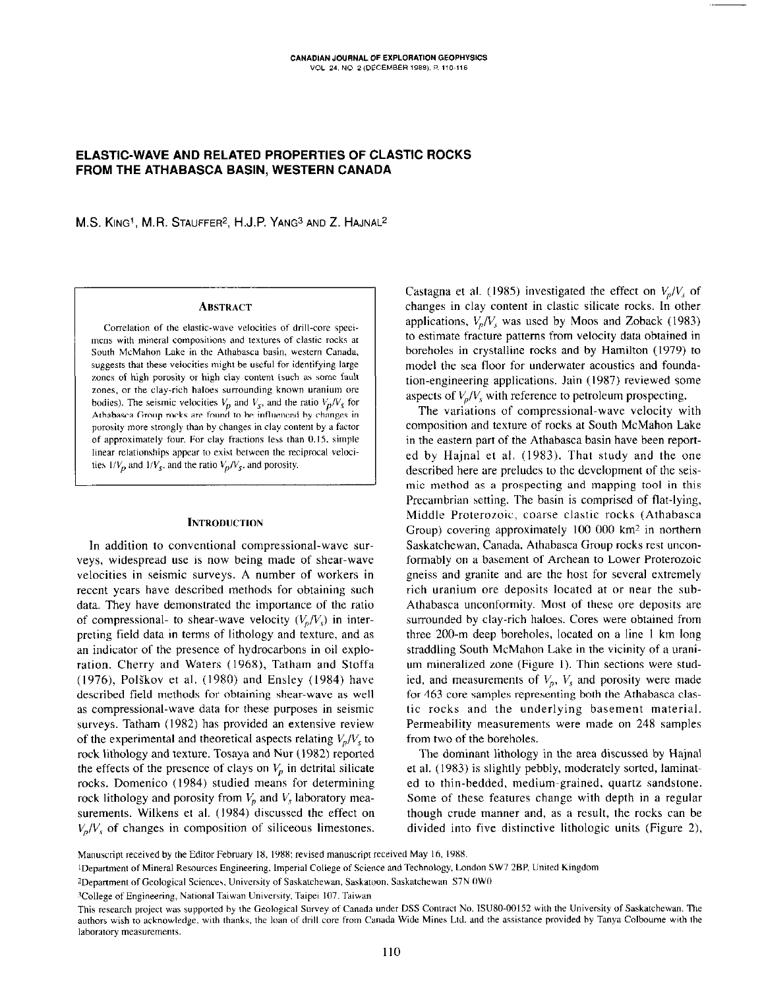# ELASTIC-WAVE AND RELATED PROPERTIES OF CLASTIC ROCKS FROM THE ATHABASCA BASIN, WESTERN CANADA

M.S. KING<sup>1</sup>, M.R. STAUFFER<sup>2</sup>, H.J.P. YANG<sup>3</sup> AND Z. HAJNAL<sup>2</sup>

### **ABSTRACT**

Correlation of the elastic-wave velocities of drill-core specimens with mineral compositions and textures of clastic rocks at South McMahon Lake in the Athabasca basin, western Canada, suggests that these velocities might be useful for identifying large zones of high porosity or high clay content (such as some fault zones, or the clay-rich haloes surrounding known uranium ore bodies). The seismic velocities  $V_p$  and  $V_s$ , and the ratio  $V_p/V_s$  for Athabasca Group rocks are found to be influenced by changes in porosity more strongly than by changes in clay content by a factor of approximately four. For clay fractions less than 0.15, simple linear relationships appear to exist between the reciprocal velocities  $1/V_p$  and  $1/V_s$ , and the ratio  $V_p/V_s$ , and porosity.

### **INTRODUCTION**

In addition to conventional compressional-wave surveys, widespread use is now being made of shear-wave velocities in seismic surveys. A number of workers in recent years have described methods for obtaining such data. They have demonstrated the importance of the ratio of compressional- to shear-wave velocity  $(V_n/V_s)$  in interpreting field data in terms of lithology and texture, and as an indicator of the presence of hydrocarbons in oil exploration. Cherry and Waters (1968), Tatham and Stoffa (1976), Polškov et al. (1980) and Ensley (1984) have described field methods for obtaining shear-wave as well as compressional-wave data for these purposes in seismic surveys. Tatham (1982) has provided an extensive review of the experimental and theoretical aspects relating  $V_n/V_s$  to rock lithology and texture. Tosaya and Nur (1982) reported the effects of the presence of clays on  $V_p$  in detrital silicate rocks. Domenico (1984) studied means for determining rock lithology and porosity from  $V_p$  and  $V_s$  laboratory measurements. Wilkens et al. (1984) discussed the effect on  $V_p/V_s$  of changes in composition of siliceous limestones. Castagna et al. (1985) investigated the effect on  $V_p/V_s$  of changes in clay content in clastic silicate rocks. In other applications,  $V_p/V_s$  was used by Moos and Zoback (1983) to estimate fracture patterns from velocity data obtained in boreholes in crystalline rocks and by Hamilton (1979) to model the sea floor for underwater acoustics and foundation-engineering applications. Jain (1987) reviewed some aspects of  $V_p/V_s$  with reference to petroleum prospecting.

The variations of compressional-wave velocity with composition and texture of rocks at South McMahon Lake in the eastern part of the Athabasca basin have been reported by Hajnal et al. (1983). That study and the one described here are preludes to the development of the seismic method as a prospecting and mapping tool in this Precambrian setting. The basin is comprised of flat-lying, Middle Proterozoic, coarse clastic rocks (Athabasca Group) covering approximately 100 000 km<sup>2</sup> in northern Saskatchewan, Canada, Athabasca Group rocks rest unconformably on a basement of Archean to Lower Proterozoic gneiss and granite and are the host for several extremely rich uranium ore deposits located at or near the sub-Athabasca unconformity. Most of these ore deposits are surrounded by clay-rich haloes. Cores were obtained from three 200-m deep boreholes, located on a line 1 km long straddling South McMahon Lake in the vicinity of a uranium mineralized zone (Figure 1). Thin sections were studied, and measurements of  $V_p$ ,  $V_s$  and porosity were made for 463 core samples representing both the Athabasca clastic rocks and the underlying basement material. Permeability measurements were made on 248 samples from two of the boreholes.

The dominant lithology in the area discussed by Hajnal et al. (1983) is slightly pebbly, moderately sorted, laminated to thin-bedded, medium-grained, quartz sandstone. Some of these features change with depth in a regular though crude manner and, as a result, the rocks can be divided into five distinctive lithologic units (Figure 2),

Manuscript received by the Editor February 18, 1988; revised manuscript received May 16, 1988.

<sup>&</sup>lt;sup>1</sup>Department of Mineral Resources Engineering, Imperial College of Science and Technology, London SW7 2BP, United Kingdom

<sup>&</sup>lt;sup>2</sup>Department of Geological Sciences, University of Saskatchewan, Saskatoon, Saskatchewan S7N 0W0

<sup>&</sup>lt;sup>3</sup>College of Engineering, National Taiwan University, Taipei 107. Taiwan

This research project was supported by the Geological Survey of Canada under DSS Contract No. ISU80-00152 with the University of Saskatchewan. The authors wish to acknowledge, with thanks, the loan of drill core from Canada Wide Mines Ltd. and the assistance provided by Tanya Colbourne with the laboratory measurements.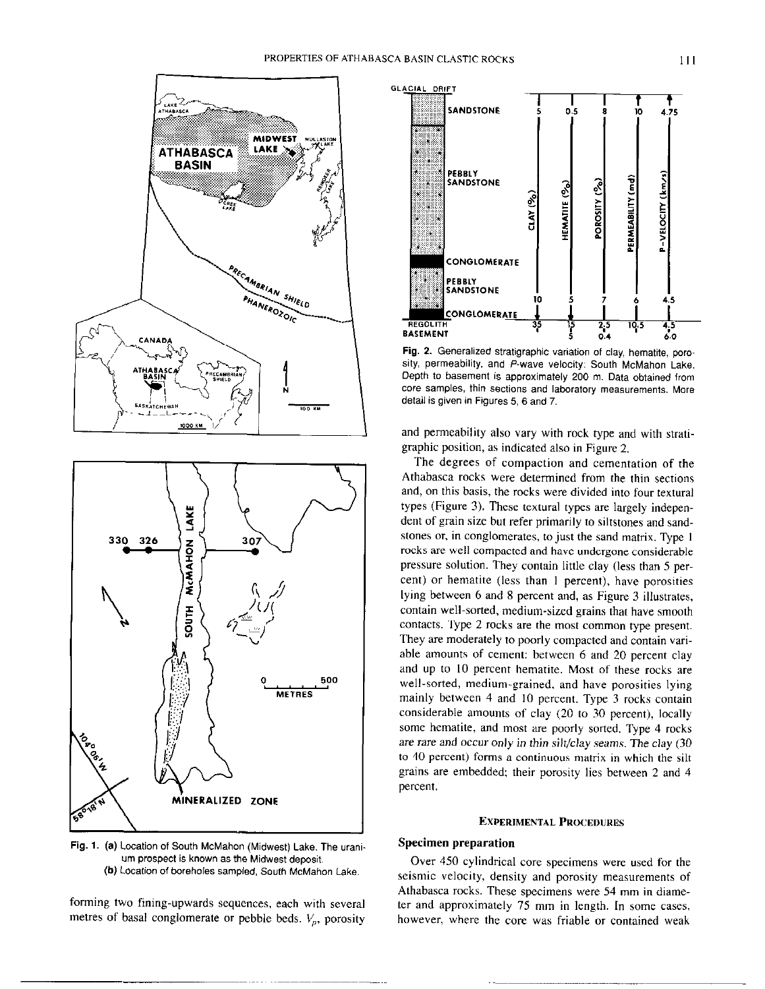



Fig. 1. (a) Location of South McMahon (Midwest) Lake. The uraniurn prospect is known as the Midwest deposit. (b) Location of boreholes sampled, South McMahon Lake.

forming two fining-upwards sequences, each with several metres of basal conglomerate or pebble beds.  $V_p$ , porosity



Fig. 2. Generalized stratigraphic variation of clay. hematite, porosity, permeability, and P-wave velocity: South McMahon Lake. Depth to basement is approximately 200 m. Data obtained from core samples, thin sections and laboratory measurements. More detail is given in Figures 5. 6 and 7.

and permeability also vary with rock type and with stratigraphic position, as indicated also in Figure 2.

The degrees of compaction and cementation of the Athabasca rocks were determined from the thin sections and, on this basis, the rocks were divided into four textural types (Figure 3). These textural types are largely independent of grain size but refer primarily to siltstones and sandstones or, in conglomerates, to just the sand matrix. Type I rocks are well compacted and have undergone considerable pressure solution. They contain little clay (less than 5 percent) or hematite (less than I percent), have porosities lying between 6 and 8 percent and, as Figure 3 illustrates, contain well-sorted, medium-sired grains that have smooth contacts. Type 2 rocks are the most common type present. They are moderately to poorly compacted and contain variable amounts of cement: between 6 and 20 percent clay and up to IO percent hematite. Most of these rocks are well-sorted, medium-grained, and have porosities lying mainly between 4 and IO percent. Type 3 rocks contain considerable amounts of clay (20 to 30 percent), locally some hematite, and most are poorly sorted. Type 4 rocks are rare and occur only in thin silt/clay seams. The clay (30 to 40 percent) forms a continuous matrix in which the silt grains are embedded: their porosity lies between 2 and 4 Dercent.

## **EXPERIMENTAL PROCEDURES**

# Specimen preparation

Over 450 cylindrical core specimens were used for the seismic velocity, density and porosity measurements of Athabasca rocks. These specimens were 54 mm in diameter and approximately 75 mm in length. In some cases, however, where the core was friable or contained weak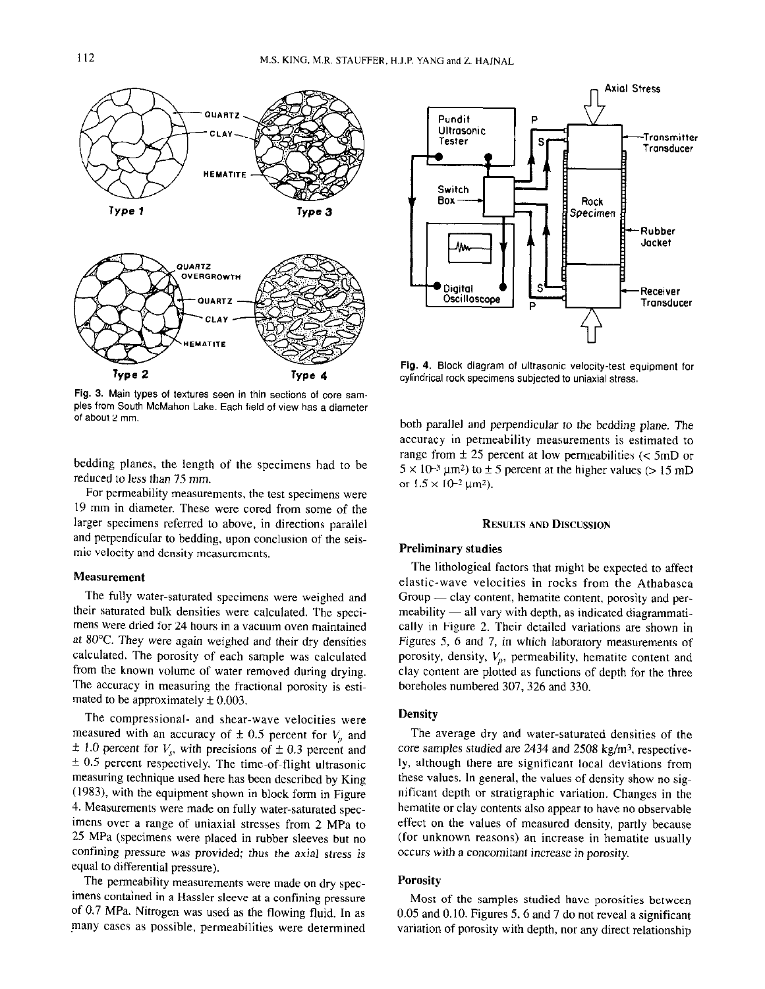Fig. 3. Main types of textures seen in thin sections of core samples from South McMahon Lake. Each field of view has a diameter of about 2 mm.

bedding planes, the length of the specimens had to be reduced to less than 75 mm.

For permeability measurements, the test specimens were I9 mm in diameter. These were cored from some of the larger specimens referred to above, in directions parallel and perpendicular to bedding, upon conclusion of the seismic velocity and density measurements.

#### Measurement

The fully water-saturated specimens were weighed and their saturated bulk densities were calculated. The specimens were dried for 24 hours in a vacuum oven maintained at 8O'C. They were again weighed and their dry densities calculated. The porosity of each sample was calculated from the known volume of water removed during drying. The accuracy in measuring the fractional porosity is estimated to be approximately  $\pm 0.003$ .

The compressional- and shear-wave velocities were measured with an accuracy of  $\pm$  0.5 percent for  $V_p$  and  $\pm$  1.0 percent for  $V_s$ , with precisions of  $\pm$  0.3 percent and  $\pm$  0.5 percent respectively. The time-of-flight ultrasonic measuring technique used here has been described by King (1983), with the equipment shown in block form in Figure 4. Measurements were made on fully water-saturated specimens over a range of uniaxial stresses from 2 MPa to 25 MPa (specimens were placed in rubber sleeves but no confining pressure was provided; thus the axial stress is equal to differential pressure).

The permeability measurements were made on dry specimens contained in a Hassler sleeve at a confining pressure of 0.7 MPa. Nitrogen was used as the flowing fluid. In as many cases as possible, permeabilities were determined



Specimen<br>
Mw Digital<br>
Digital<br>
Oscilloscope<br>
P<br>
Tri

Pundit P<br>Ultrasonic P

Tester

Switch

Oscilloscope

**Axial Stress** 

-Transmitter Transducer

-Rubber Jacket

**Receiver** Transducer

both parallel and perpendicular fo the bedding plane. The accuracy in permeability measurements is estimated to range from  $\pm 25$  percent at low permeabilities (< 5mD or  $5 \times 10^{-3}$  µm<sup>2</sup>) to  $\pm$  5 percent at the higher values (> 15 mD or  $1.5 \times 10^{-2}$  µm<sup>2</sup>).

#### RESULTS AND DISCUSSION

### Preliminary studies

The lithological factors that might be expected to affect elastic-wave velocities in rocks from the Athabasca  $Group$  — clay content, hematite content, porosity and per $meability$   $-$  all vary with depth, as indicated diagrammatically in Figure 2. Their detailed variations are shown in Figures 5, 6 and 7, in which laboratory measurements of porosity, density,  $V_p$ , permeability, hematite content and clay content are plotted as functions of depth for the three boreholes numbered 307,326 and 330.

### **Density**

The average dry and water-saturated densities of the core samples studied are  $2434$  and  $2508$  kg/m<sup>3</sup>, respectively, although there are significant local deviations from these values. In general, the values of density show no significant depth or stratigraphic variation. Changes in the hematite or clay contents also appear to have no observable effect on the values of measured density, partly because (for unknown reasons) an increase in hematite usually occurs with a concomitant increase in porosity.

#### **Porosity**

Most of the samples studied have porosities between 0.05 and 0.10. Figures 5,6 and 7 do not reveal a significant variation of porosity with depth, nor any direct relationship

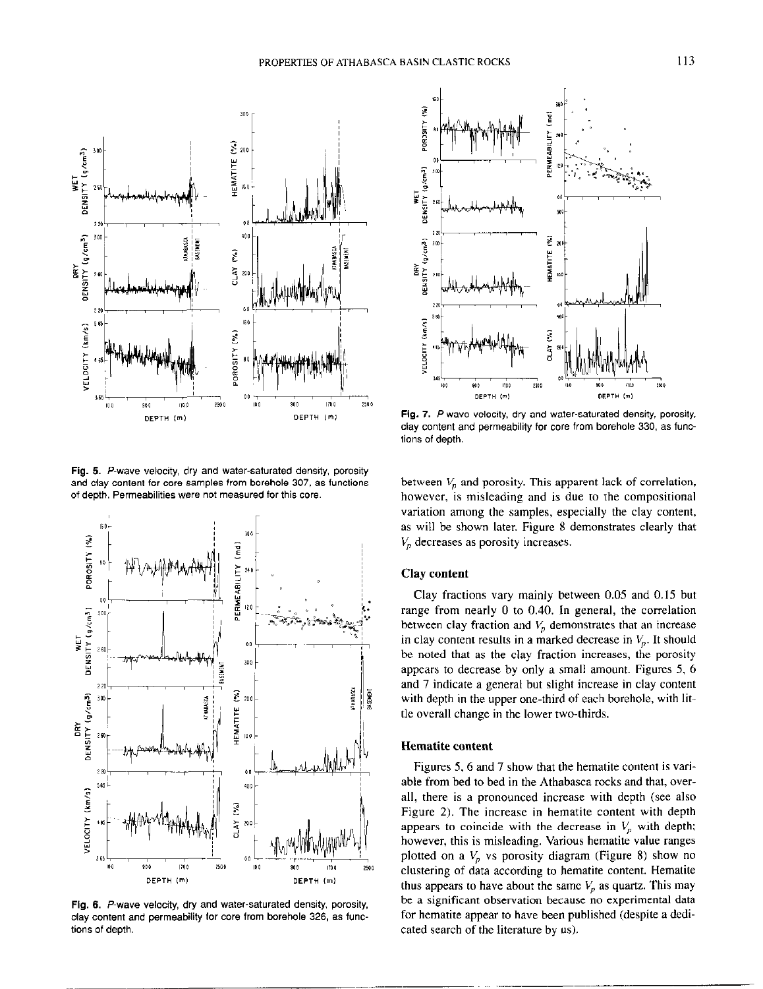

Fig. 6. P-wave velocity, dry and water-saturated density, porosity and clay content for core samples from borehole 307, as functions of depth. Permeabilities were not measured for this core.



Fig. 6. P-wave velocity, dry and water-saturated density. porosity, clay content and permeability lor core from borehole 326, as functions of depth.



Fig. 7. P-wave velocity, dry and water-saturated density, porosity, clay content and permeability for core from borehole 330, as functions of depth.

between  $V_p$  and porosity. This apparent lack of correlation, however, is misleading and is due to the compositional variation among the samples, especially the clay content, as will be shown later. Figure 8 demonstrates clearly that  $V_p$  decreases as porosity increases.

### Clay content

Clay fractions vary mainly between 0.05 and 0.15 but range from nearly 0 to 0.40. In general, the correlation between clay fraction and  $V_p$  demonstrates that an increase in clay content results in a marked decrease in  $V_p$ . It should be noted that as the clay fraction increases, the porosity appears to decrease by only a small amount. Figures 5, 6 and 7 indicate a general but slight increase in clay content with depth in the upper one-third of each borehole, with little overall change in the lower two-thirds.

## Hematite content

Figures 5, 6 and 7 show that the hematite content is variable from bed to bed in the Athabasca rocks and that, overall, there is a pronounced increase with depth (see also Figure 2). The increase in hematite content with depth appears to coincide with the decrease in  $V_p$  with depth; however, this is misleading. Various hematite value ranges plotted on a  $V_p$  vs porosity diagram (Figure 8) show no clustering of data according to hematite content. Hematite thus appears to have about the same  $V_p$  as quartz. This may be a significant observation because no experimental data for hematite appear to have been published (despite a dedicated search of the literature by us).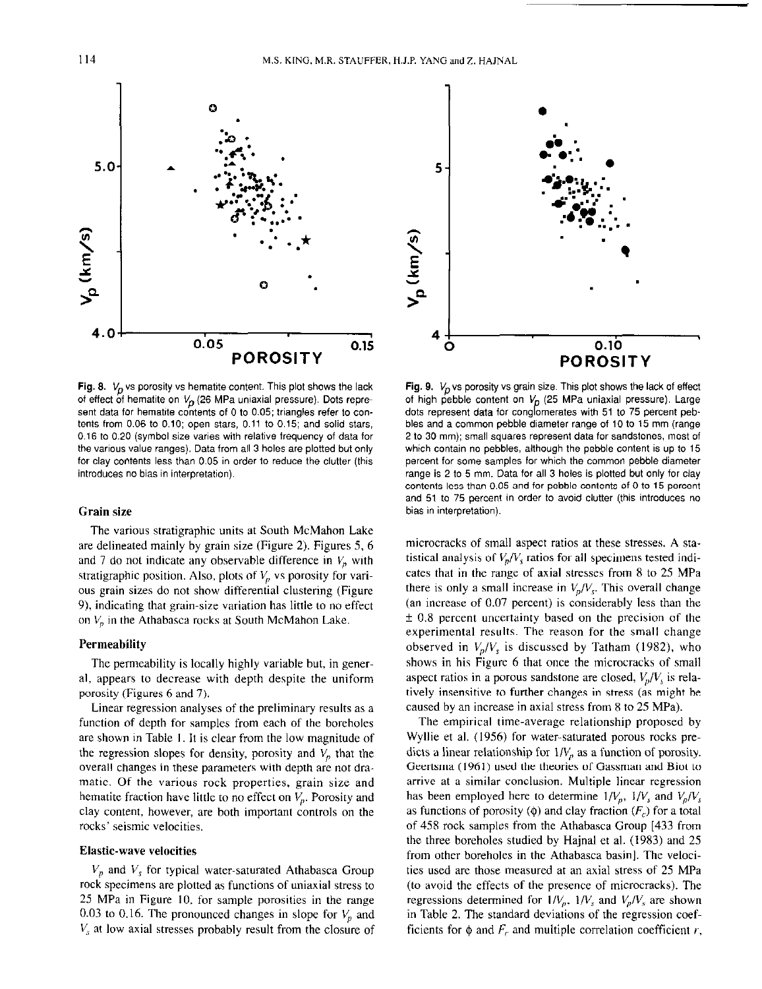

Fig. 8.  $V_p$  vs porosity vs hematite content. This plot shows the lack of effect of hematite on  $V_p$  (26 MPa uniaxial pressure). Dots represent data for hematite contents of 0 to 0.05; triangles refer to contents from 0.06 to 0.10; open stars, 0.11 to 0.15; and solid stars, 0.16 to 0.20 (symbol size varies with relative frequency of data for the various value ranges). Data from all 3 holes are plotted but only for clay contents less than 0.05 in order to reduce the clutter (this introduces no bias in interpretation).

# Grain size

The various stratigraphic units at South McMahon Lake are delineated mainly by grain sire (Figure 2). Figures 5, 6 and 7 do not indicate any observable difference in  $V_p$  with stratigraphic position. Also, plots of  $V_p$  vs porosity for various grain sizes do not show differential clustering (Figure 9), indicating that grain-size variation has little to no effect on  $V_p$  in the Athabasca rocks at South McMahon Lake.

#### **Permeability**

The permeability is locally highly variable but, in general, appears to decrease with depth despite the uniform porosity (Figures 6 and 7).

Linear regression analyses of the preliminary results as a function of depth for samples from each of the boreholes are shown in Table I, It is clear from the low magnitude of the regression slopes for density, porosity and  $V<sub>p</sub>$  that the overall changes in these parameters with depth are not dramatic. Of the various rock properties, grain size and hematite fraction have little to no effect on  $V_p$ . Porosity and clay content, however, are both important controls on the rocks' seismic velocities.

# Elastic-wave velocities

 $V_p$  and  $V_s$  for typical water-saturated Athabasca Group rock specimens are plotted as functions of uniaxial stress to 25 MPa in Figure IO, for sample porosities in the range 0.03 to 0.16. The pronounced changes in slope for  $V_p$  and  $V<sub>s</sub>$  at low axial stresses probably result from the closure of



Fig. 9.  $V_p$  vs porosity vs grain size. This plot shows the lack of effect of high pebble content on  $V<sub>p</sub>$  (25 MPa uniaxial pressure). Large dots represent data for conglomerates with 51 to 75 percent pebbles and a common pebble diameter range of 10 to 15 mm (range 2 to 30 mm); small squares represent data for sandstones, most of which contain no pebbles, although the pebble content is up to 15 percent for some samples for which the common pebble diameter range is 2 to 5 mm. Data for all 3 holes is plotted but only for clay contents less than 0.05 and for pebble contents of 0 to 15 percent and 51 to 75 percent in order to avoid clutter (this introduces no bias in interpretation).

microcracks of small aspect ratios at these stresses. A statistical analysis of  $V_p/V_s$  ratios for all specimens tested indicates that in the range of axial stresses from 8 to 25 MPa there is only a small increase in  $V_p/V_s$ . This overall change (an increase of 0.07 percent) is considerably less than the  $\pm$  0.8 percent uncertainty based on the precision of the experimental results. The reason for the small change observed in  $V_p/V_s$  is discussed by Tatham (1982), who shows in his Figure 6 that once the microcracks of small aspect ratios in a porous sandstone are closed,  $V_p/V_s$  is relatively insensitive to further changes in stress (as might be caused by an increase in axial stress from 8 to 25 MPa).

The empirical time-average relationship proposed by Wyllie et al. (1956) for water-saturated porous rocks predicts a linear relationship for  $1/V_p$  as a function of porosity. Geertsma (1961) used the theories of Gassman and Biot to arrive at a similar conclusion. Multiple linear regression has been employed here to determine  $1/V_p$ ,  $1/V_s$  and  $V_p/V_s$ as functions of porosity ( $\phi$ ) and clay fraction ( $F_c$ ) for a total of 45X rock samples from the Athabasca Group [433 from the three boreholes studied by Hajnal et al. (1983) and 25 from other boreholes in the Athabasca basin]. The velocities used are those measured at an axial stress of 25 MPa (to avoid the effects of the presence of microcracks). The regressions determined for  $1/V_p$ ,  $1/V_s$  and  $V_p/V_s$  are shown in Table 2. The standard deviations of the regression coefficients for  $\phi$  and  $F_r$  and multiple correlation coefficient r,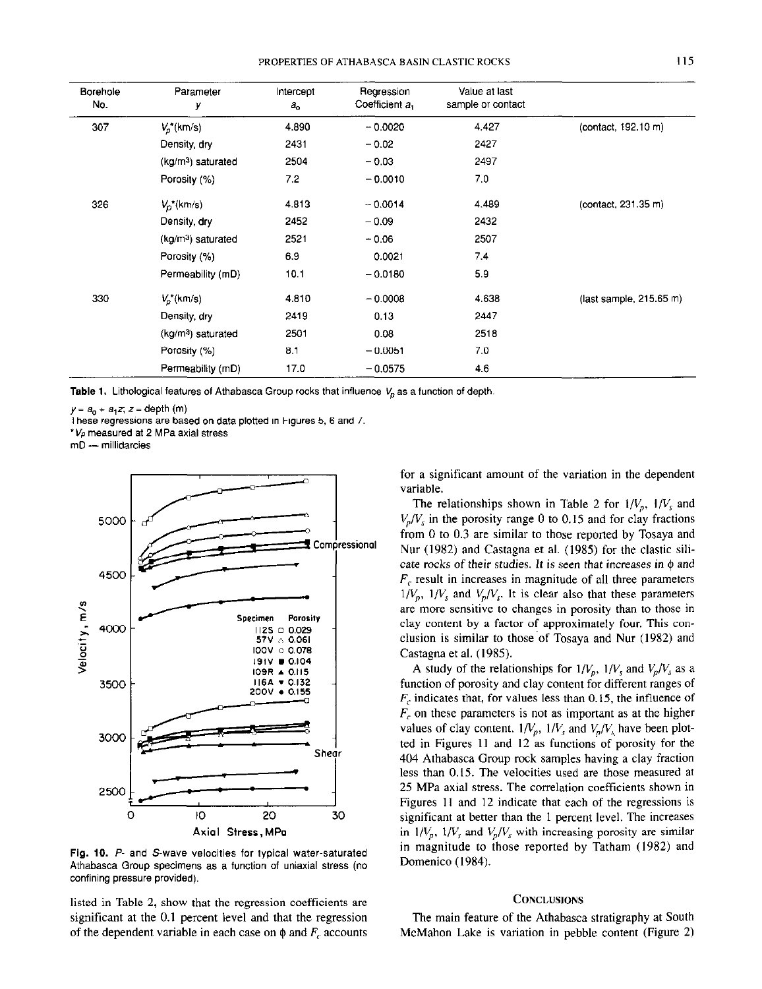#### PROPERTIES OF ATHABASCA BASIN CLASTIC ROCKS

| Borehole<br>No. | Parameter<br>у                 | Intercept<br>$a_{\rm o}$ | Regression<br>Coefficient a <sub>1</sub> | Value at last<br>sample or contact |                            |
|-----------------|--------------------------------|--------------------------|------------------------------------------|------------------------------------|----------------------------|
| 307             | $V_p^*(km/s)$                  | 4.890                    | $-0.0020$                                | 4.427                              | (contact, 192.10 m)        |
|                 | Density dry                    | 2431                     | $-0.02$                                  | 2427                               |                            |
|                 | $(kg/m3)$ saturated            | 2504                     | $-0.03$                                  | 2497                               |                            |
|                 | Porosity (%)                   | 7.2                      | $-0.0010$                                | 7.0                                |                            |
| 326             | $V_D^*(km/s)$                  | 4.813                    | $-0.0014$                                | 4.489                              | (contact, 231.35 m)        |
|                 | Density, dry                   | 2452                     | $-0.09$                                  | 2432                               |                            |
|                 | (kg/m <sup>3</sup> ) saturated | 2521                     | $-0.06$                                  | 2507                               |                            |
|                 | Porosity (%)                   | 6.9                      | 0.0021                                   | 7.4                                |                            |
|                 | Permeability (mD)              | 10.1                     | $-0.0180$                                | 5.9                                |                            |
| 330             | $V_p$ (km/s)                   | 4.810                    | $-0.0008$                                | 4.638                              | $ (last sample, 215.65 m)$ |
|                 | Density, dry                   | 2419                     | 0.13                                     | 2447                               |                            |
|                 | (kg/m <sup>3</sup> ) saturated | 2501                     | 0.08                                     | 2518                               |                            |
|                 | Porosity (%)                   | 8.1                      | $-0.0051$                                | 7.0                                |                            |
|                 | Permeability (mD)              | 17.0                     | $-0.0575$                                | 4.6                                |                            |

Table 1. Lithological features of Athabasca Group rocks that influence  $V<sub>0</sub>$  as a function of depth.

 $y = a_0 + a_1z$ ;  $z =$  depth (m)

These regressions are based on data plotted in Figures 5, 6 and 7.

 $v_p$  measured at 2 MPa axial stress

mD - millidarcies



Fig. 10. P- and S-wave velocities for typical water-saturated Athabasca Group specimens as a function of uniaxial stress (no confining pressure provided).

listed in Table 2, show that the regression coefficients are significant at the 0.1 percent level and that the regression of the dependent variable in each case on  $\phi$  and  $F_c$  accounts

for a significant amount of the variation in the dependent variable.

The relationships shown in Table 2 for  $1/V_p$ ,  $1/V_s$  and  $V_p/V_s$  in the porosity range 0 to 0.15 and for clay fractions from 0 to 0.3 are similar to those reported by Tosaya and Nur (1982) and Castagna et al. (1985) for the elastic silicate rocks of their studies. It is seen that increases in  $\phi$  and  $F_c$  result in increases in magnitude of all three parameters  $1/V_p$ ,  $1/V_s$  and  $V_p/V_s$ . It is clear also that these parameters are more sensitive to changes in porosity than to those in clay content by a factor of approximately four. This conclusion is similar to those of Tosaya and Nur (1982) and Castagna et al. (1985).

A study of the relationships for  $1/V_p$ ,  $1/V_s$  and  $V_p/V_s$  as a function of porosity and clay content for different ranges of  $F_c$  indicates that, for values less than 0.15, the influence of  $F_c$  on these parameters is not as important as at the higher values of clay content.  $1/V_p$ ,  $1/V_s$  and  $V_p/V_s$ , have been plotted in Figures II and I2 as functions of porosity for the 404 Athabasca Group rock samples having a clay fraction less than 0.15. The velocities used are those measured at 25 MPa axial stress. The correlation coefficients shown in Figures 11 and 12 indicate that each of the regressions is significant at better than the 1 percent level. The increases in  $1/V_p$ ,  $1/V_s$  and  $V_p/V_s$  with increasing porosity are similar in magnitude to those reported by Tatham (1982) and Domenico (1984).

# **CONCLUSIONS**

The main feature of the Athabasca stratigraphy at South McMahon Lake is variation in pebble content (Figure 2)